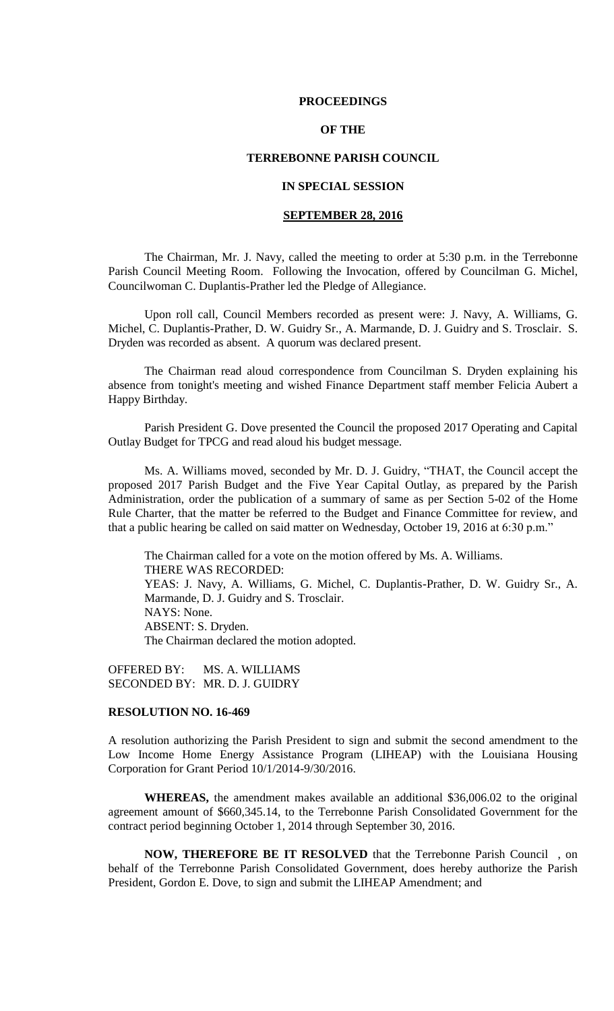#### **PROCEEDINGS**

# **OF THE**

### **TERREBONNE PARISH COUNCIL**

# **IN SPECIAL SESSION**

## **SEPTEMBER 28, 2016**

The Chairman, Mr. J. Navy, called the meeting to order at 5:30 p.m. in the Terrebonne Parish Council Meeting Room. Following the Invocation, offered by Councilman G. Michel, Councilwoman C. Duplantis-Prather led the Pledge of Allegiance.

Upon roll call, Council Members recorded as present were: J. Navy, A. Williams, G. Michel, C. Duplantis-Prather, D. W. Guidry Sr., A. Marmande, D. J. Guidry and S. Trosclair. S. Dryden was recorded as absent. A quorum was declared present.

The Chairman read aloud correspondence from Councilman S. Dryden explaining his absence from tonight's meeting and wished Finance Department staff member Felicia Aubert a Happy Birthday.

Parish President G. Dove presented the Council the proposed 2017 Operating and Capital Outlay Budget for TPCG and read aloud his budget message.

Ms. A. Williams moved, seconded by Mr. D. J. Guidry, "THAT, the Council accept the proposed 2017 Parish Budget and the Five Year Capital Outlay, as prepared by the Parish Administration, order the publication of a summary of same as per Section 5-02 of the Home Rule Charter, that the matter be referred to the Budget and Finance Committee for review, and that a public hearing be called on said matter on Wednesday, October 19, 2016 at 6:30 p.m."

The Chairman called for a vote on the motion offered by Ms. A. Williams. THERE WAS RECORDED: YEAS: J. Navy, A. Williams, G. Michel, C. Duplantis-Prather, D. W. Guidry Sr., A. Marmande, D. J. Guidry and S. Trosclair. NAYS: None. ABSENT: S. Dryden. The Chairman declared the motion adopted.

OFFERED BY: MS. A. WILLIAMS SECONDED BY: MR. D. J. GUIDRY

## **RESOLUTION NO. 16-469**

A resolution authorizing the Parish President to sign and submit the second amendment to the Low Income Home Energy Assistance Program (LIHEAP) with the Louisiana Housing Corporation for Grant Period 10/1/2014-9/30/2016.

**WHEREAS,** the amendment makes available an additional \$36,006.02 to the original agreement amount of \$660,345.14, to the Terrebonne Parish Consolidated Government for the contract period beginning October 1, 2014 through September 30, 2016.

**NOW, THEREFORE BE IT RESOLVED** that the Terrebonne Parish Council , on behalf of the Terrebonne Parish Consolidated Government, does hereby authorize the Parish President, Gordon E. Dove, to sign and submit the LIHEAP Amendment; and